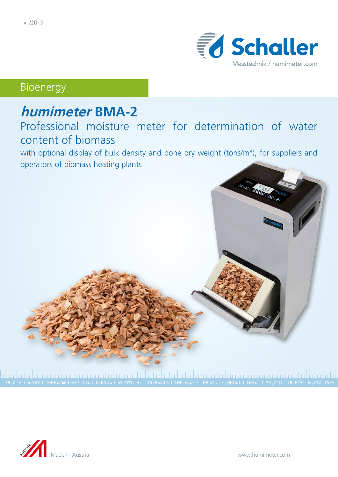

Bioenergy

# **humimeter BMA-2**

## Professional moisture meter for determination of water content of biomass

with optional display of bulk density and bone dry weight (tons/m<sup>3</sup>), for suppliers and operators of biomass heating plants



|<br>78,0 °F | 6,16%| 456kg/m3| -27,3td| 0,64aw| 51,9‰.H. | 14,8%abs| 100,4g/m2| 09m/s| 4,90Ugl| 163ym| 23,2 °C| 78,8°F| 6,21% |424<br>78,0 °F | 6,16%| 456kg/m3| −27,3td| 0,64aw| 51,9‰.H. | 14,8%abs| 100,4g/m2| 09m/s| 4,90Ugl|